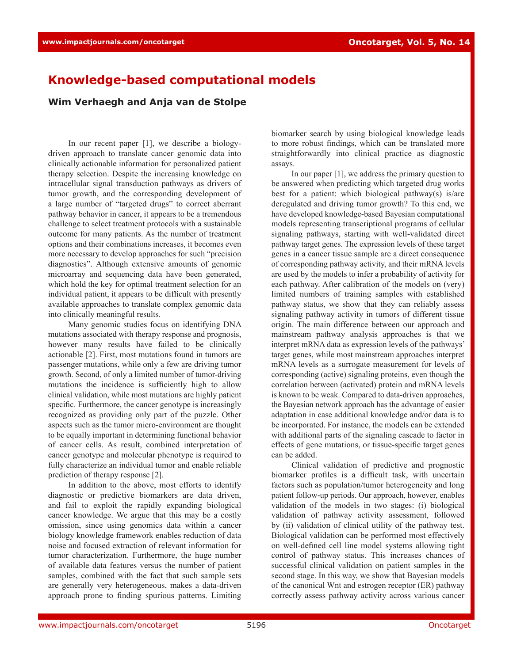## **Knowledge-based computational models**

**Wim Verhaegh and Anja van de Stolpe**

In our recent paper [1], we describe a biologydriven approach to translate cancer genomic data into clinically actionable information for personalized patient therapy selection. Despite the increasing knowledge on intracellular signal transduction pathways as drivers of tumor growth, and the corresponding development of a large number of "targeted drugs" to correct aberrant pathway behavior in cancer, it appears to be a tremendous challenge to select treatment protocols with a sustainable outcome for many patients. As the number of treatment options and their combinations increases, it becomes even more necessary to develop approaches for such "precision diagnostics". Although extensive amounts of genomic microarray and sequencing data have been generated, which hold the key for optimal treatment selection for an individual patient, it appears to be difficult with presently available approaches to translate complex genomic data into clinically meaningful results.

Many genomic studies focus on identifying DNA mutations associated with therapy response and prognosis, however many results have failed to be clinically actionable [2]. First, most mutations found in tumors are passenger mutations, while only a few are driving tumor growth. Second, of only a limited number of tumor-driving mutations the incidence is sufficiently high to allow clinical validation, while most mutations are highly patient specific. Furthermore, the cancer genotype is increasingly recognized as providing only part of the puzzle. Other aspects such as the tumor micro-environment are thought to be equally important in determining functional behavior of cancer cells. As result, combined interpretation of cancer genotype and molecular phenotype is required to fully characterize an individual tumor and enable reliable prediction of therapy response [2].

In addition to the above, most efforts to identify diagnostic or predictive biomarkers are data driven, and fail to exploit the rapidly expanding biological cancer knowledge. We argue that this may be a costly omission, since using genomics data within a cancer biology knowledge framework enables reduction of data noise and focused extraction of relevant information for tumor characterization. Furthermore, the huge number of available data features versus the number of patient samples, combined with the fact that such sample sets are generally very heterogeneous, makes a data-driven approach prone to finding spurious patterns. Limiting biomarker search by using biological knowledge leads to more robust findings, which can be translated more straightforwardly into clinical practice as diagnostic assays.

In our paper [1], we address the primary question to be answered when predicting which targeted drug works best for a patient: which biological pathway(s) is/are deregulated and driving tumor growth? To this end, we have developed knowledge-based Bayesian computational models representing transcriptional programs of cellular signaling pathways, starting with well-validated direct pathway target genes. The expression levels of these target genes in a cancer tissue sample are a direct consequence of corresponding pathway activity, and their mRNA levels are used by the models to infer a probability of activity for each pathway. After calibration of the models on (very) limited numbers of training samples with established pathway status, we show that they can reliably assess signaling pathway activity in tumors of different tissue origin. The main difference between our approach and mainstream pathway analysis approaches is that we interpret mRNA data as expression levels of the pathways' target genes, while most mainstream approaches interpret mRNA levels as a surrogate measurement for levels of corresponding (active) signaling proteins, even though the correlation between (activated) protein and mRNA levels is known to be weak. Compared to data-driven approaches, the Bayesian network approach has the advantage of easier adaptation in case additional knowledge and/or data is to be incorporated. For instance, the models can be extended with additional parts of the signaling cascade to factor in effects of gene mutations, or tissue-specific target genes can be added.

Clinical validation of predictive and prognostic biomarker profiles is a difficult task, with uncertain factors such as population/tumor heterogeneity and long patient follow-up periods. Our approach, however, enables validation of the models in two stages: (i) biological validation of pathway activity assessment, followed by (ii) validation of clinical utility of the pathway test. Biological validation can be performed most effectively on well-defined cell line model systems allowing tight control of pathway status. This increases chances of successful clinical validation on patient samples in the second stage. In this way, we show that Bayesian models of the canonical Wnt and estrogen receptor (ER) pathway correctly assess pathway activity across various cancer